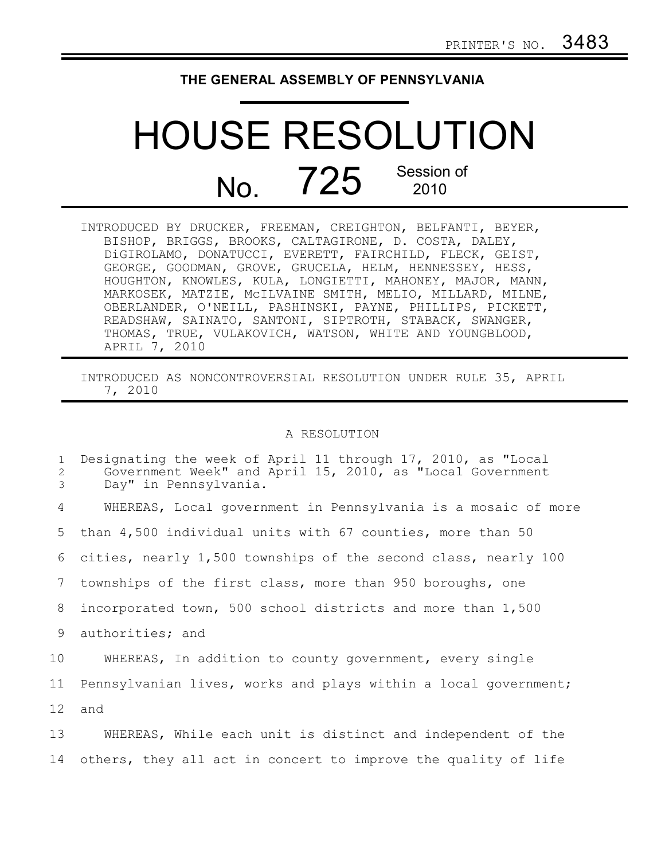## **THE GENERAL ASSEMBLY OF PENNSYLVANIA**

## HOUSE RESOLUTION No. 725 Session of 2010

| INTRODUCED BY DRUCKER, FREEMAN, CREIGHTON, BELFANTI, BEYER, |
|-------------------------------------------------------------|
| BISHOP, BRIGGS, BROOKS, CALTAGIRONE, D. COSTA, DALEY,       |
| DiGIROLAMO, DONATUCCI, EVERETT, FAIRCHILD, FLECK, GEIST,    |
| GEORGE, GOODMAN, GROVE, GRUCELA, HELM, HENNESSEY, HESS,     |
| HOUGHTON, KNOWLES, KULA, LONGIETTI, MAHONEY, MAJOR, MANN,   |
| MARKOSEK, MATZIE, MCILVAINE SMITH, MELIO, MILLARD, MILNE,   |
| OBERLANDER, O'NEILL, PASHINSKI, PAYNE, PHILLIPS, PICKETT,   |
| READSHAW, SAINATO, SANTONI, SIPTROTH, STABACK, SWANGER,     |
| THOMAS, TRUE, VULAKOVICH, WATSON, WHITE AND YOUNGBLOOD,     |
| APRIL 7, 2010                                               |

INTRODUCED AS NONCONTROVERSIAL RESOLUTION UNDER RULE 35, APRIL 7, 2010

## A RESOLUTION

| $\mathbf{1}$<br>$\mathbf{2}$<br>3 | Designating the week of April 11 through 17, 2010, as "Local<br>Government Week" and April 15, 2010, as "Local Government<br>Day" in Pennsylvania. |
|-----------------------------------|----------------------------------------------------------------------------------------------------------------------------------------------------|
| 4                                 | WHEREAS, Local government in Pennsylvania is a mosaic of more                                                                                      |
| 5                                 | than 4,500 individual units with 67 counties, more than 50                                                                                         |
| 6                                 | cities, nearly 1,500 townships of the second class, nearly 100                                                                                     |
| 7                                 | townships of the first class, more than 950 boroughs, one                                                                                          |
| 8                                 | incorporated town, 500 school districts and more than 1,500                                                                                        |
| 9                                 | authorities; and                                                                                                                                   |
| 10                                | WHEREAS, In addition to county government, every single                                                                                            |
| 11                                | Pennsylvanian lives, works and plays within a local government;                                                                                    |
| 12                                | and                                                                                                                                                |
| 13                                | WHEREAS, While each unit is distinct and independent of the                                                                                        |
| 14                                | others, they all act in concert to improve the quality of life                                                                                     |
|                                   |                                                                                                                                                    |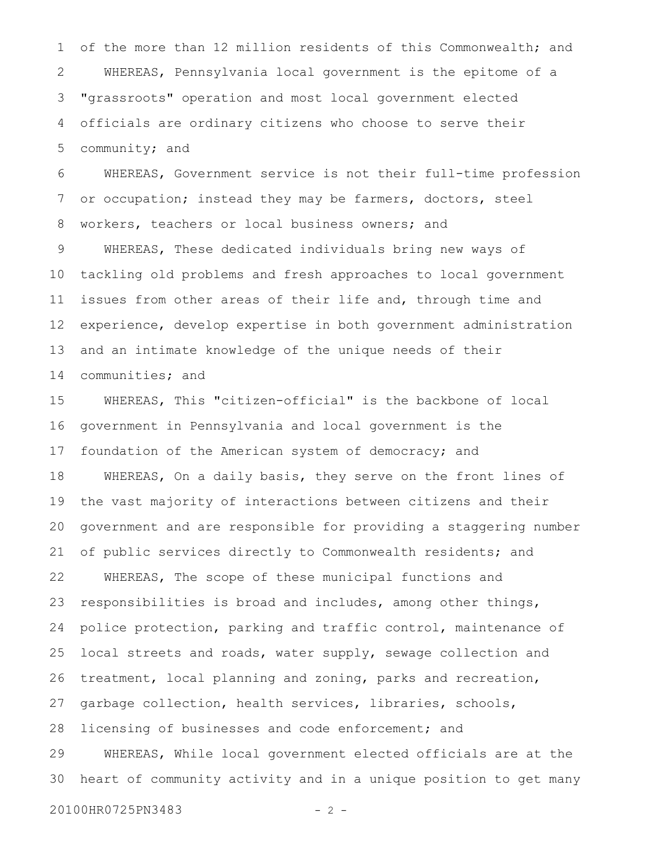of the more than 12 million residents of this Commonwealth; and WHEREAS, Pennsylvania local government is the epitome of a "grassroots" operation and most local government elected officials are ordinary citizens who choose to serve their community; and 1 2 3 4 5

WHEREAS, Government service is not their full-time profession or occupation; instead they may be farmers, doctors, steel workers, teachers or local business owners; and WHEREAS, These dedicated individuals bring new ways of tackling old problems and fresh approaches to local government issues from other areas of their life and, through time and experience, develop expertise in both government administration and an intimate knowledge of the unique needs of their communities; and 6 7 8 9 10 11 12 13 14

WHEREAS, This "citizen-official" is the backbone of local government in Pennsylvania and local government is the foundation of the American system of democracy; and WHEREAS, On a daily basis, they serve on the front lines of the vast majority of interactions between citizens and their government and are responsible for providing a staggering number of public services directly to Commonwealth residents; and WHEREAS, The scope of these municipal functions and responsibilities is broad and includes, among other things, police protection, parking and traffic control, maintenance of local streets and roads, water supply, sewage collection and treatment, local planning and zoning, parks and recreation, garbage collection, health services, libraries, schools, licensing of businesses and code enforcement; and WHEREAS, While local government elected officials are at the heart of community activity and in a unique position to get many 15 16 17 18 19 20 21 22 23 24 25 26 27 28 29 30

20100HR0725PN3483 - 2 -